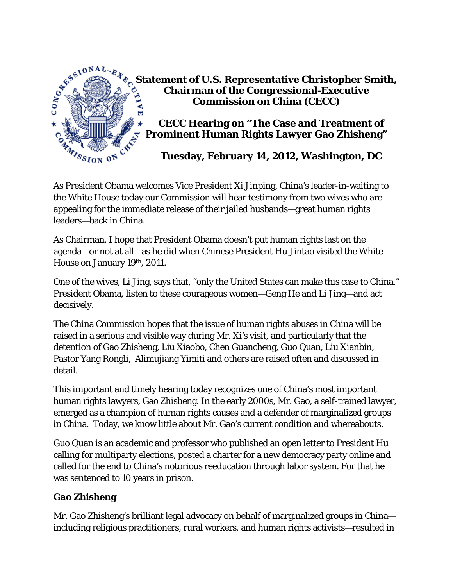

**Statement of U.S. Representative Christopher Smith, Chairman of the Congressional-Executive Commission on China (CECC)** 

 **CECC Hearing on "The Case and Treatment of Prominent Human Rights Lawyer Gao Zhisheng"** 

 **Tuesday, February 14, 2012, Washington, DC** 

As President Obama welcomes Vice President Xi Jinping, China's leader-in-waiting to the White House today our Commission will hear testimony from two wives who are appealing for the immediate release of their jailed husbands—great human rights leaders—back in China.

As Chairman, I hope that President Obama doesn't put human rights last on the agenda—or not at all—as he did when Chinese President Hu Jintao visited the White House on January 19th, 2011.

One of the wives, Li Jing, says that, "only the United States can make this case to China." President Obama, listen to these courageous women—Geng He and Li Jing—and act decisively.

The China Commission hopes that the issue of human rights abuses in China will be raised in a serious and visible way during Mr. Xi's visit, and particularly that the detention of Gao Zhisheng, Liu Xiaobo, Chen Guancheng, Guo Quan, Liu Xianbin, Pastor Yang Rongli, Alimujiang Yimiti and others are raised often and discussed in detail.

This important and timely hearing today recognizes one of China's most important human rights lawyers, Gao Zhisheng. In the early 2000s, Mr. Gao, a self-trained lawyer, emerged as a champion of human rights causes and a defender of marginalized groups in China. Today, we know little about Mr. Gao's current condition and whereabouts.

Guo Quan is an academic and professor who published an open letter to President Hu calling for multiparty elections, posted a charter for a new democracy party online and called for the end to China's notorious reeducation through labor system. For that he was sentenced to 10 years in prison.

## **Gao Zhisheng**

Mr. Gao Zhisheng's brilliant legal advocacy on behalf of marginalized groups in China including religious practitioners, rural workers, and human rights activists—resulted in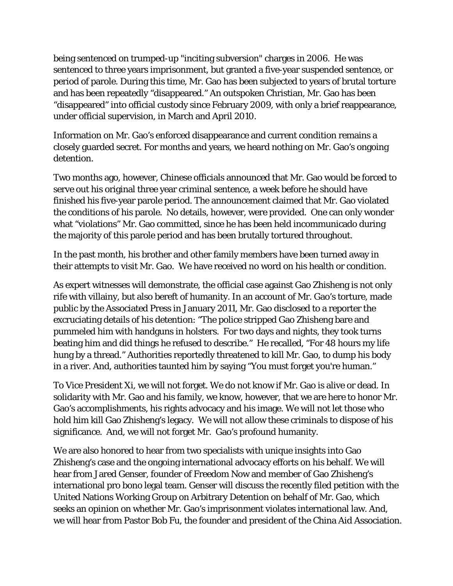being sentenced on trumped-up "inciting subversion" charges in 2006. He was sentenced to three years imprisonment, but granted a five-year suspended sentence, or period of parole. During this time, Mr. Gao has been subjected to years of brutal torture and has been repeatedly "disappeared." An outspoken Christian, Mr. Gao has been "disappeared" into official custody since February 2009, with only a brief reappearance, under official supervision, in March and April 2010.

Information on Mr. Gao's enforced disappearance and current condition remains a closely guarded secret. For months and years, we heard nothing on Mr. Gao's ongoing detention.

Two months ago, however, Chinese officials announced that Mr. Gao would be forced to serve out his original three year criminal sentence, a week before he should have finished his five-year parole period. The announcement claimed that Mr. Gao violated the conditions of his parole. No details, however, were provided. One can only wonder what "violations" Mr. Gao committed, since he has been held incommunicado during the majority of this parole period and has been brutally tortured throughout.

In the past month, his brother and other family members have been turned away in their attempts to visit Mr. Gao. We have received no word on his health or condition.

As expert witnesses will demonstrate, the official case against Gao Zhisheng is not only rife with villainy, but also bereft of humanity. In an account of Mr. Gao's torture, made public by the Associated Press in January 2011, Mr. Gao disclosed to a reporter the excruciating details of his detention: "The police stripped Gao Zhisheng bare and pummeled him with handguns in holsters. For two days and nights, they took turns beating him and did things he refused to describe." He recalled, "For 48 hours my life hung by a thread." Authorities reportedly threatened to kill Mr. Gao, to dump his body in a river. And, authorities taunted him by saying "You must forget you're human."

To Vice President Xi, we will not forget. We do not know if Mr. Gao is alive or dead. In solidarity with Mr. Gao and his family, we know, however, that we are here to honor Mr. Gao's accomplishments, his rights advocacy and his image. We will not let those who hold him kill Gao Zhisheng's legacy. We will not allow these criminals to dispose of his significance. And, we will not forget Mr. Gao's profound humanity.

We are also honored to hear from two specialists with unique insights into Gao Zhisheng's case and the ongoing international advocacy efforts on his behalf. We will hear from Jared Genser, founder of Freedom Now and member of Gao Zhisheng's international pro bono legal team. Genser will discuss the recently filed petition with the United Nations Working Group on Arbitrary Detention on behalf of Mr. Gao, which seeks an opinion on whether Mr. Gao's imprisonment violates international law. And, we will hear from Pastor Bob Fu, the founder and president of the China Aid Association.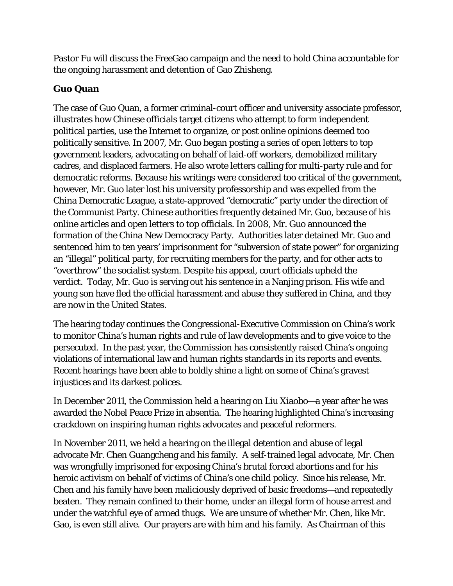Pastor Fu will discuss the FreeGao campaign and the need to hold China accountable for the ongoing harassment and detention of Gao Zhisheng.

## **Guo Quan**

The case of Guo Quan, a former criminal-court officer and university associate professor, illustrates how Chinese officials target citizens who attempt to form independent political parties, use the Internet to organize, or post online opinions deemed too politically sensitive. In 2007, Mr. Guo began posting a series of open letters to top government leaders, advocating on behalf of laid-off workers, demobilized military cadres, and displaced farmers. He also wrote letters calling for multi-party rule and for democratic reforms. Because his writings were considered too critical of the government, however, Mr. Guo later lost his university professorship and was expelled from the China Democratic League, a state-approved "democratic" party under the direction of the Communist Party. Chinese authorities frequently detained Mr. Guo, because of his online articles and open letters to top officials. In 2008, Mr. Guo announced the formation of the China New Democracy Party. Authorities later detained Mr. Guo and sentenced him to ten years' imprisonment for "subversion of state power" for organizing an "illegal" political party, for recruiting members for the party, and for other acts to "overthrow" the socialist system. Despite his appeal, court officials upheld the verdict. Today, Mr. Guo is serving out his sentence in a Nanjing prison. His wife and young son have fled the official harassment and abuse they suffered in China, and they are now in the United States.

The hearing today continues the Congressional-Executive Commission on China's work to monitor China's human rights and rule of law developments and to give voice to the persecuted. In the past year, the Commission has consistently raised China's ongoing violations of international law and human rights standards in its reports and events. Recent hearings have been able to boldly shine a light on some of China's gravest injustices and its darkest polices.

In December 2011, the Commission held a hearing on Liu Xiaobo—a year after he was awarded the Nobel Peace Prize in absentia. The hearing highlighted China's increasing crackdown on inspiring human rights advocates and peaceful reformers.

In November 2011, we held a hearing on the illegal detention and abuse of legal advocate Mr. Chen Guangcheng and his family. A self-trained legal advocate, Mr. Chen was wrongfully imprisoned for exposing China's brutal forced abortions and for his heroic activism on behalf of victims of China's one child policy. Since his release, Mr. Chen and his family have been maliciously deprived of basic freedoms—and repeatedly beaten. They remain confined to their home, under an illegal form of house arrest and under the watchful eye of armed thugs. We are unsure of whether Mr. Chen, like Mr. Gao, is even still alive. Our prayers are with him and his family. As Chairman of this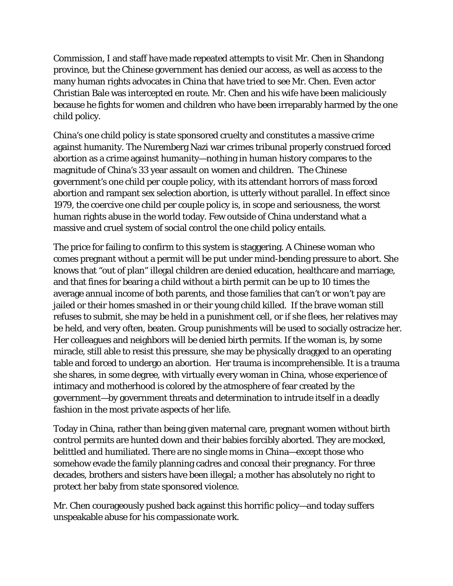Commission, I and staff have made repeated attempts to visit Mr. Chen in Shandong province, but the Chinese government has denied our access, as well as access to the many human rights advocates in China that have tried to see Mr. Chen. Even actor Christian Bale was intercepted en route. Mr. Chen and his wife have been maliciously because he fights for women and children who have been irreparably harmed by the one child policy.

China's one child policy is state sponsored cruelty and constitutes a massive crime against humanity. The Nuremberg Nazi war crimes tribunal properly construed forced abortion as a crime against humanity—nothing in human history compares to the magnitude of China's 33 year assault on women and children. The Chinese government's one child per couple policy, with its attendant horrors of mass forced abortion and rampant sex selection abortion, is utterly without parallel. In effect since 1979, the coercive one child per couple policy is, in scope and seriousness, the worst human rights abuse in the world today. Few outside of China understand what a massive and cruel system of social control the one child policy entails.

The price for failing to confirm to this system is staggering. A Chinese woman who comes pregnant without a permit will be put under mind-bending pressure to abort. She knows that "out of plan" illegal children are denied education, healthcare and marriage, and that fines for bearing a child without a birth permit can be up to 10 times the average annual income of both parents, and those families that can't or won't pay are jailed or their homes smashed in or their young child killed. If the brave woman still refuses to submit, she may be held in a punishment cell, or if she flees, her relatives may be held, and very often, beaten. Group punishments will be used to socially ostracize her. Her colleagues and neighbors will be denied birth permits. If the woman is, by some miracle, still able to resist this pressure, she may be physically dragged to an operating table and forced to undergo an abortion. Her trauma is incomprehensible. It is a trauma she shares, in some degree, with virtually every woman in China, whose experience of intimacy and motherhood is colored by the atmosphere of fear created by the government—by government threats and determination to intrude itself in a deadly fashion in the most private aspects of her life.

Today in China, rather than being given maternal care, pregnant women without birth control permits are hunted down and their babies forcibly aborted. They are mocked, belittled and humiliated. There are no single moms in China—except those who somehow evade the family planning cadres and conceal their pregnancy. For three decades, brothers and sisters have been illegal; a mother has absolutely no right to protect her baby from state sponsored violence.

Mr. Chen courageously pushed back against this horrific policy—and today suffers unspeakable abuse for his compassionate work.